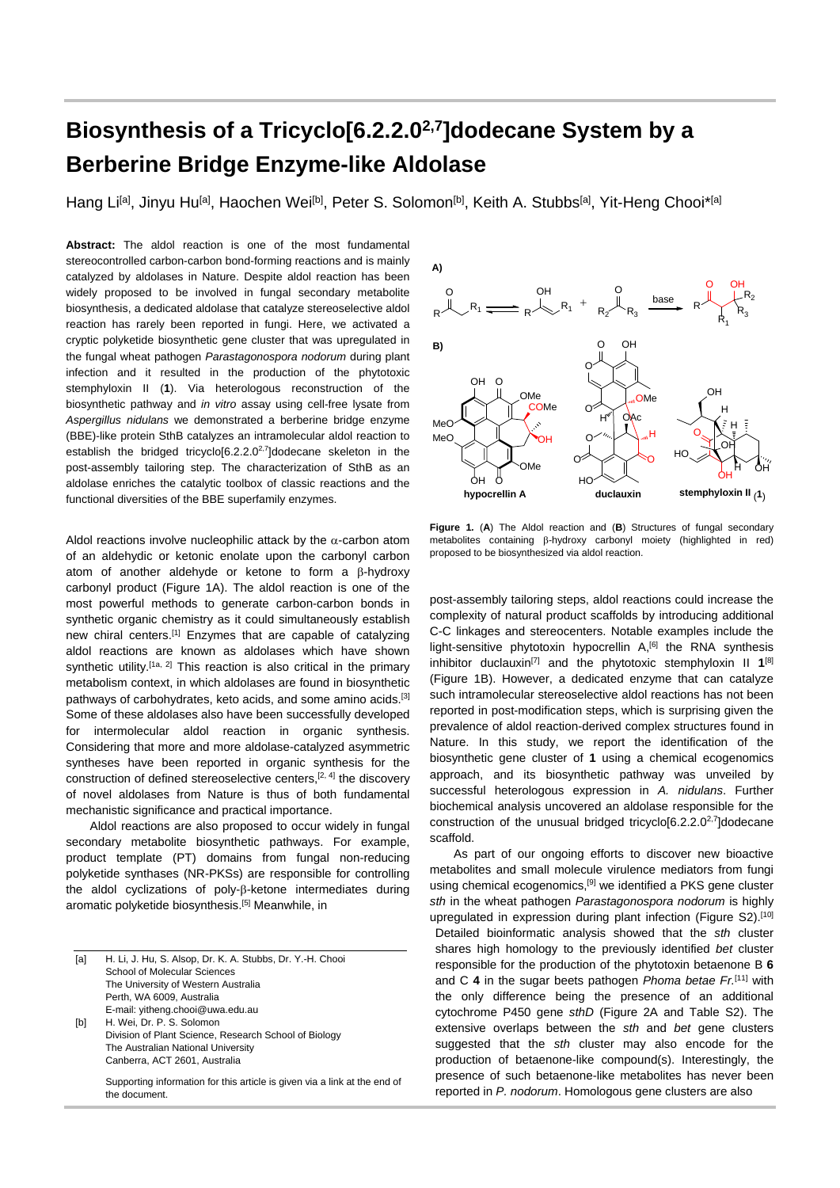## **Biosynthesis of a Tricyclo[6.2.2.02,7]dodecane System by a Berberine Bridge Enzyme-like Aldolase**

Hang Li<sup>[a]</sup>, Jinyu Hu<sup>[a]</sup>, Haochen Wei<sup>[b]</sup>, Peter S. Solomon<sup>[b]</sup>, Keith A. Stubbs<sup>[a]</sup>, Yit-Heng Chooi\*<sup>[a]</sup>

**Abstract:** The aldol reaction is one of the most fundamental stereocontrolled carbon-carbon bond-forming reactions and is mainly catalyzed by aldolases in Nature. Despite aldol reaction has been widely proposed to be involved in fungal secondary metabolite biosynthesis, a dedicated aldolase that catalyze stereoselective aldol reaction has rarely been reported in fungi. Here, we activated a cryptic polyketide biosynthetic gene cluster that was upregulated in the fungal wheat pathogen *Parastagonospora nodorum* during plant infection and it resulted in the production of the phytotoxic stemphyloxin II (**1**). Via heterologous reconstruction of the biosynthetic pathway and *in vitro* assay using cell-free lysate from *Aspergillus nidulans* we demonstrated a berberine bridge enzyme (BBE)-like protein SthB catalyzes an intramolecular aldol reaction to establish the bridged tricyclo[6.2.2.0<sup>2,7</sup>]dodecane skeleton in the post-assembly tailoring step. The characterization of SthB as an aldolase enriches the catalytic toolbox of classic reactions and the functional diversities of the BBE superfamily enzymes.

Aldol reactions involve nucleophilic attack by the  $\alpha$ -carbon atom of an aldehydic or ketonic enolate upon the carbonyl carbon atom of another aldehyde or ketone to form a β-hydroxy carbonyl product (Figure 1A). The aldol reaction is one of the most powerful methods to generate carbon-carbon bonds in synthetic organic chemistry as it could simultaneously establish new chiral centers.[1] Enzymes that are capable of catalyzing aldol reactions are known as aldolases which have shown synthetic utility.<sup>[1a, 2]</sup> This reaction is also critical in the primary metabolism context, in which aldolases are found in biosynthetic pathways of carbohydrates, keto acids, and some amino acids.[3] Some of these aldolases also have been successfully developed for intermolecular aldol reaction in organic synthesis. Considering that more and more aldolase-catalyzed asymmetric syntheses have been reported in organic synthesis for the construction of defined stereoselective centers,[2, 4] the discovery of novel aldolases from Nature is thus of both fundamental mechanistic significance and practical importance.

Aldol reactions are also proposed to occur widely in fungal secondary metabolite biosynthetic pathways. For example, product template (PT) domains from fungal non-reducing polyketide synthases (NR-PKSs) are responsible for controlling the aldol cyclizations of poly-β-ketone intermediates during aromatic polyketide biosynthesis.[5] Meanwhile, in

| [a] | H. Li, J. Hu, S. Alsop, Dr. K. A. Stubbs, Dr. Y.-H. Chooi                 |
|-----|---------------------------------------------------------------------------|
|     | School of Molecular Sciences                                              |
|     | The University of Western Australia                                       |
|     | Perth, WA 6009, Australia                                                 |
|     | E-mail: yitheng.chooi@uwa.edu.au                                          |
| [b] | H. Wei, Dr. P. S. Solomon                                                 |
|     | Division of Plant Science, Research School of Biology                     |
|     | The Australian National University                                        |
|     | Canberra, ACT 2601, Australia                                             |
|     | Supporting information for this article is given via a link at the end of |
|     | the document.                                                             |



**Figure 1***.* (**A**) The Aldol reaction and (**B**) Structures of fungal secondary metabolites containing β-hydroxy carbonyl moiety (highlighted in red) proposed to be biosynthesized via aldol reaction.

post-assembly tailoring steps, aldol reactions could increase the complexity of natural product scaffolds by introducing additional C-C linkages and stereocenters. Notable examples include the light-sensitive phytotoxin hypocrellin A,<sup>[6]</sup> the RNA synthesis inhibitor duclauxin[7] and the phytotoxic stemphyloxin II **1**[8] (Figure 1B). However, a dedicated enzyme that can catalyze such intramolecular stereoselective aldol reactions has not been reported in post-modification steps, which is surprising given the prevalence of aldol reaction-derived complex structures found in Nature. In this study, we report the identification of the biosynthetic gene cluster of **1** using a chemical ecogenomics approach, and its biosynthetic pathway was unveiled by successful heterologous expression in *A. nidulans*. Further biochemical analysis uncovered an aldolase responsible for the construction of the unusual bridged tricyclo[6.2.2.0<sup>2,7</sup>]dodecane scaffold.

As part of our ongoing efforts to discover new bioactive metabolites and small molecule virulence mediators from fungi using chemical ecogenomics,<sup>[9]</sup> we identified a PKS gene cluster *sth* in the wheat pathogen *Parastagonospora nodorum* is highly upregulated in expression during plant infection (Figure S2).<sup>[10]</sup> Detailed bioinformatic analysis showed that the *sth* cluster shares high homology to the previously identified *bet* cluster responsible for the production of the phytotoxin betaenone B **6** and C **4** in the sugar beets pathogen *Phoma betae Fr.*[11] with the only difference being the presence of an additional cytochrome P450 gene *sthD* (Figure 2A and Table S2). The extensive overlaps between the *sth* and *bet* gene clusters suggested that the *sth* cluster may also encode for the production of betaenone-like compound(s). Interestingly, the presence of such betaenone-like metabolites has never been reported in *P. nodorum*. Homologous gene clusters are also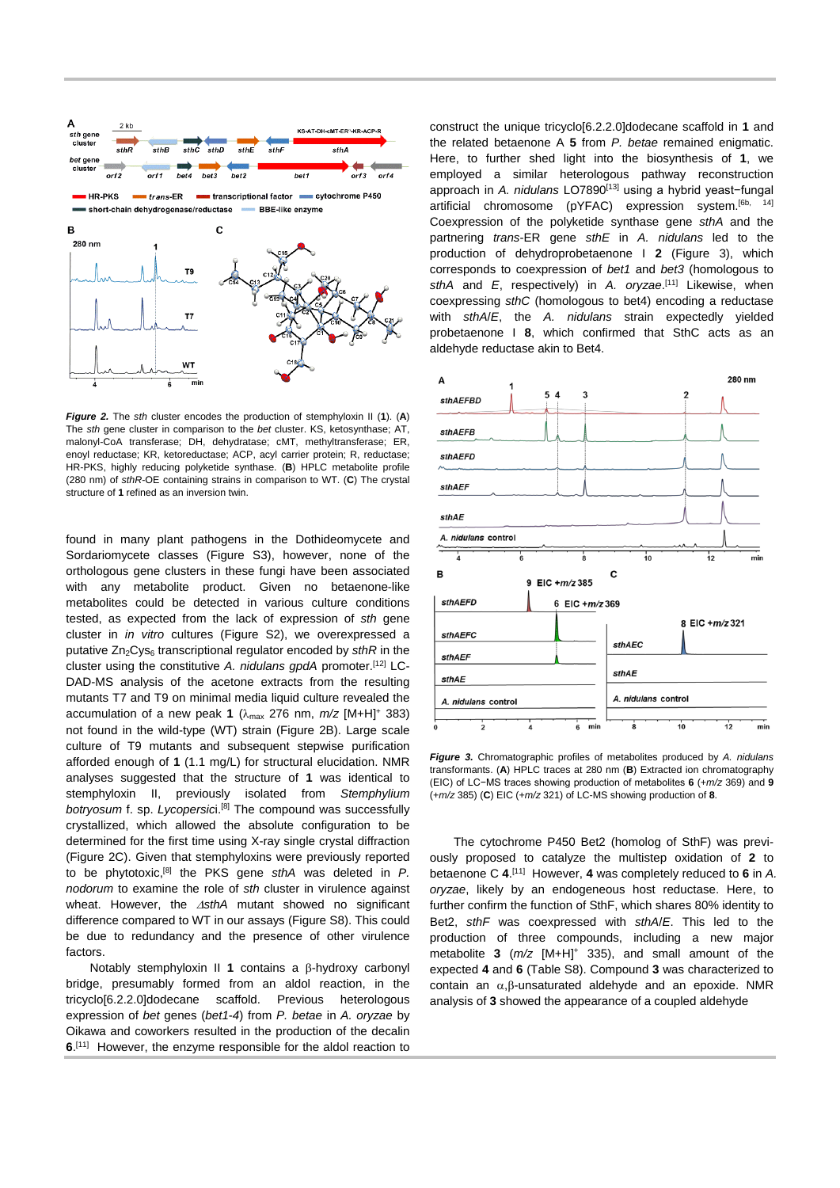

*Figure 2.* The *sth* cluster encodes the production of stemphyloxin II (**1**). (**A**) The *sth* gene cluster in comparison to the *bet* cluster. KS, ketosynthase; AT, malonyl-CoA transferase; DH, dehydratase; cMT, methyltransferase; ER, enoyl reductase; KR, ketoreductase; ACP, acyl carrier protein; R, reductase; HR-PKS, highly reducing polyketide synthase. (**B**) HPLC metabolite profile (280 nm) of *sthR*-OE containing strains in comparison to WT. (**C**) The crystal structure of **1** refined as an inversion twin.

found in many plant pathogens in the Dothideomycete and Sordariomycete classes (Figure S3), however, none of the orthologous gene clusters in these fungi have been associated with any metabolite product. Given no betaenone-like metabolites could be detected in various culture conditions tested, as expected from the lack of expression of *sth* gene cluster in *in vitro* cultures (Figure S2), we overexpressed a putative Zn<sub>2</sub>Cys<sub>6</sub> transcriptional regulator encoded by *sthR* in the cluster using the constitutive *A. nidulans gpdA* promoter.[12] LC-DAD-MS analysis of the acetone extracts from the resulting mutants T7 and T9 on minimal media liquid culture revealed the accumulation of a new peak **1** ( $\lambda_{\text{max}}$  276 nm,  $m/z$  [M+H]<sup>+</sup> 383) not found in the wild-type (WT) strain (Figure 2B). Large scale culture of T9 mutants and subsequent stepwise purification afforded enough of **1** (1.1 mg/L) for structural elucidation. NMR analyses suggested that the structure of **1** was identical to stemphyloxin II, previously isolated from *Stemphylium botryosum* f. sp. *Lycopersic*i.[8] The compound was successfully crystallized, which allowed the absolute configuration to be determined for the first time using X-ray single crystal diffraction (Figure 2C). Given that stemphyloxins were previously reported to be phytotoxic,[8] the PKS gene *sthA* was deleted in *P. nodorum* to examine the role of *sth* cluster in virulence against wheat. However, the ∆*sthA* mutant showed no significant difference compared to WT in our assays (Figure S8). This could be due to redundancy and the presence of other virulence factors.

Notably stemphyloxin II **1** contains a β-hydroxy carbonyl bridge, presumably formed from an aldol reaction, in the tricyclo[6.2.2.0]dodecane scaffold. Previous heterologous expression of *bet* genes (*bet1*-*4*) from *P. betae* in *A. oryzae* by Oikawa and coworkers resulted in the production of the decalin **6**. [11] However, the enzyme responsible for the aldol reaction to construct the unique tricyclo[6.2.2.0]dodecane scaffold in **1** and the related betaenone A **5** from *P. betae* remained enigmatic. Here, to further shed light into the biosynthesis of **1**, we employed a similar heterologous pathway reconstruction approach in *A. nidulans* LO7890<sup>[13]</sup> using a hybrid yeast-fungal artificial chromosome (pYFAC) expression system.<sup>[6b, 14]</sup> Coexpression of the polyketide synthase gene *sthA* and the partnering *trans*-ER gene *sthE* in *A. nidulans* led to the production of dehydroprobetaenone I **2** (Figure 3), which corresponds to coexpression of *bet1* and *bet3* (homologous to sthA and *E*, respectively) in *A. oryzae*.<sup>[11]</sup> Likewise, when coexpressing *sthC* (homologous to bet4) encoding a reductase with *sthA*/*E*, the *A. nidulans* strain expectedly yielded probetaenone I **8**, which confirmed that SthC acts as an aldehyde reductase akin to Bet4.



*Figure 3.* Chromatographic profiles of metabolites produced by *A. nidulans* transformants. (**A**) HPLC traces at 280 nm (**B**) Extracted ion chromatography (EIC) of LC−MS traces showing production of metabolites **6** (+*m/z* 369) and **9** (+*m/z* 385) (**C**) EIC (+*m/z* 321) of LC-MS showing production of **8**.

The cytochrome P450 Bet2 (homolog of SthF) was previously proposed to catalyze the multistep oxidation of **2** to betaenone C **4**. [11] However, **4** was completely reduced to **6** in *A. oryzae*, likely by an endogeneous host reductase. Here, to further confirm the function of SthF, which shares 80% identity to Bet2, *sthF* was coexpressed with *sthA*/*E*. This led to the production of three compounds, including a new major metabolite **3** (*m/z* [M+H]+ 335), and small amount of the expected **4** and **6** (Table S8). Compound **3** was characterized to contain an α,β-unsaturated aldehyde and an epoxide. NMR analysis of **3** showed the appearance of a coupled aldehyde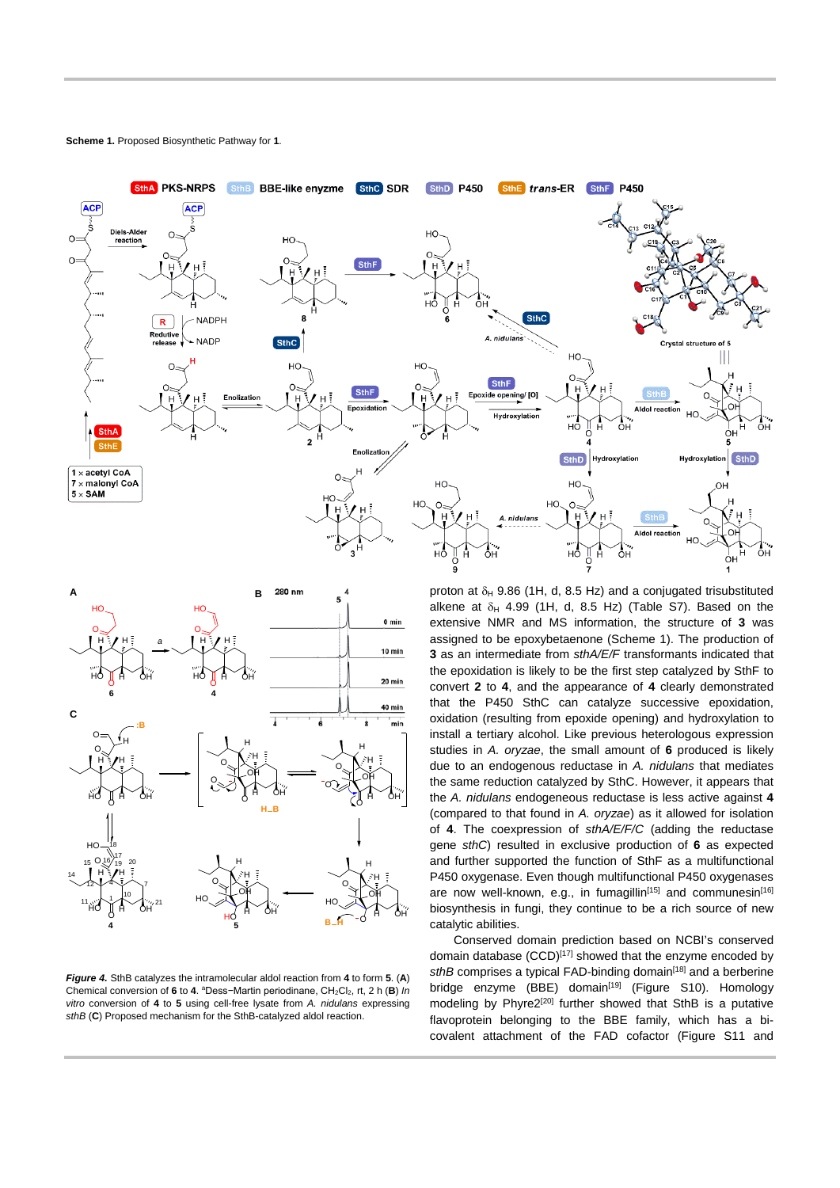

**Scheme 1.** Proposed Biosynthetic Pathway for **1**.



*Figure 4.* SthB catalyzes the intramolecular aldol reaction from **4** to form **5**. (**A**) Chemical conversion of **6** to **4**. aDess−Martin periodinane, CH2Cl2, rt, 2 h (**B**) *In vitro* conversion of **4** to **5** using cell-free lysate from *A. nidulans* expressing *sthB* (**C**) Proposed mechanism for the SthB-catalyzed aldol reaction.

proton at  $\delta_H$  9.86 (1H, d, 8.5 Hz) and a conjugated trisubstituted alkene at  $\delta_H$  4.99 (1H, d, 8.5 Hz) (Table S7). Based on the extensive NMR and MS information, the structure of **3** was assigned to be epoxybetaenone (Scheme 1). The production of **3** as an intermediate from *sthA/E/F* transformants indicated that the epoxidation is likely to be the first step catalyzed by SthF to convert **2** to **4**, and the appearance of **4** clearly demonstrated that the P450 SthC can catalyze successive epoxidation, oxidation (resulting from epoxide opening) and hydroxylation to install a tertiary alcohol. Like previous heterologous expression studies in *A. oryzae*, the small amount of **6** produced is likely due to an endogenous reductase in *A. nidulans* that mediates the same reduction catalyzed by SthC. However, it appears that the *A. nidulans* endogeneous reductase is less active against **4** (compared to that found in *A. oryzae*) as it allowed for isolation of **4**. The coexpression of *sthA/E/F/C* (adding the reductase gene *sthC*) resulted in exclusive production of **6** as expected and further supported the function of SthF as a multifunctional P450 oxygenase. Even though multifunctional P450 oxygenases are now well-known, e.g., in fumagillin<sup>[15]</sup> and communesin<sup>[16]</sup> biosynthesis in fungi, they continue to be a rich source of new catalytic abilities.

Conserved domain prediction based on NCBI's conserved domain database (CCD)<sup>[17]</sup> showed that the enzyme encoded by sthB comprises a typical FAD-binding domain<sup>[18]</sup> and a berberine bridge enzyme (BBE) domain<sup>[19]</sup> (Figure S10). Homology modeling by Phyre2<sup>[20]</sup> further showed that SthB is a putative flavoprotein belonging to the BBE family, which has a bicovalent attachment of the FAD cofactor (Figure S11 and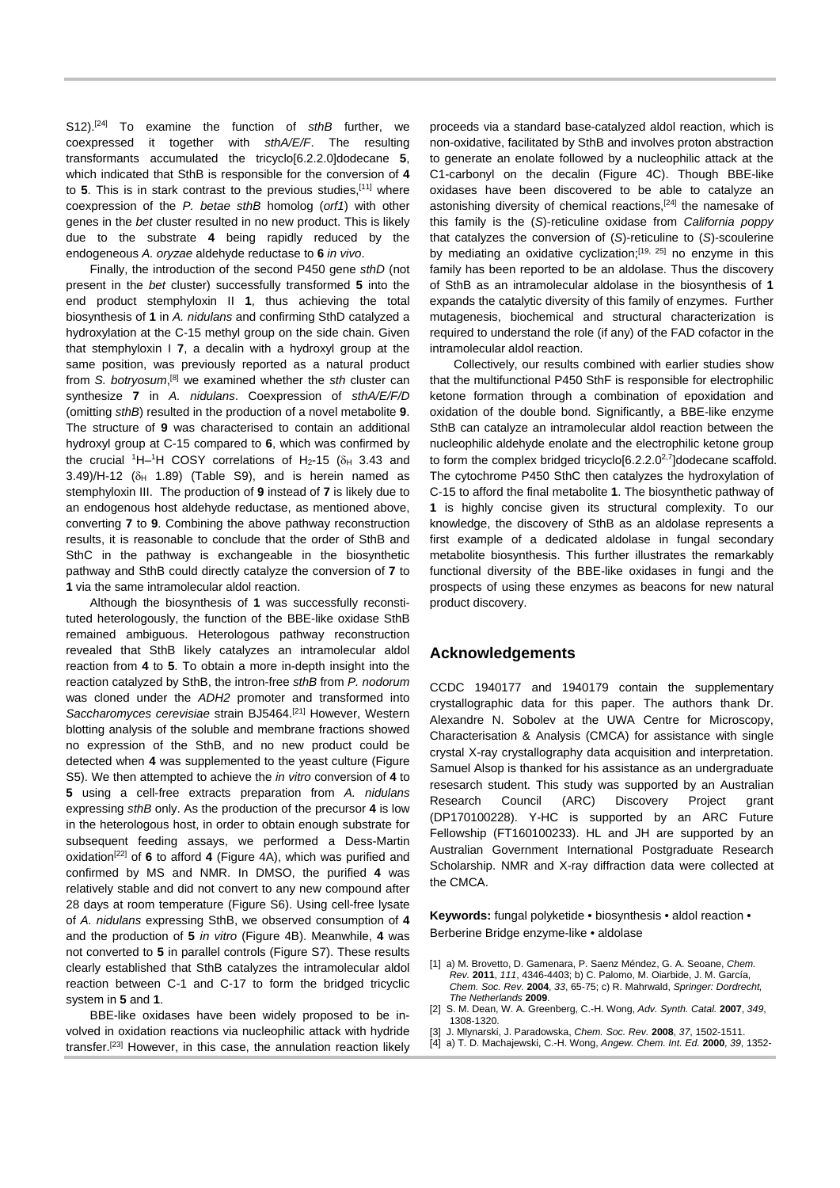S12). [24] To examine the function of *sthB* further, we coexpressed it together with *sthA/E/F*. The resulting transformants accumulated the tricyclo[6.2.2.0]dodecane **5**, which indicated that SthB is responsible for the conversion of **4** to **5**. This is in stark contrast to the previous studies,[11] where coexpression of the *P. betae sthB* homolog (*orf1*) with other genes in the *bet* cluster resulted in no new product. This is likely due to the substrate **4** being rapidly reduced by the endogeneous *A. oryzae* aldehyde reductase to **6** *in vivo*.

Finally, the introduction of the second P450 gene *sthD* (not present in the *bet* cluster) successfully transformed **5** into the end product stemphyloxin II **1**, thus achieving the total biosynthesis of **1** in *A. nidulans* and confirming SthD catalyzed a hydroxylation at the C-15 methyl group on the side chain. Given that stemphyloxin I **7**, a decalin with a hydroxyl group at the same position, was previously reported as a natural product from S. botryosum,<sup>[8]</sup> we examined whether the *sth* cluster can synthesize **7** in *A. nidulans*. Coexpression of *sthA/E/F/D* (omitting *sthB*) resulted in the production of a novel metabolite **9**. The structure of **9** was characterised to contain an additional hydroxyl group at C-15 compared to **6**, which was confirmed by the crucial <sup>1</sup>H–<sup>1</sup>H COSY correlations of H<sub>2</sub>-15 ( $\delta$ <sub>H</sub> 3.43 and  $3.49$ /H-12 ( $\delta$ <sup>H</sup> 1.89) (Table S9), and is herein named as stemphyloxin III. The production of **9** instead of **7** is likely due to an endogenous host aldehyde reductase, as mentioned above, converting **7** to **9**. Combining the above pathway reconstruction results, it is reasonable to conclude that the order of SthB and SthC in the pathway is exchangeable in the biosynthetic pathway and SthB could directly catalyze the conversion of **7** to **1** via the same intramolecular aldol reaction.

Although the biosynthesis of **1** was successfully reconstituted heterologously, the function of the BBE-like oxidase SthB remained ambiguous. Heterologous pathway reconstruction revealed that SthB likely catalyzes an intramolecular aldol reaction from **4** to **5**. To obtain a more in-depth insight into the reaction catalyzed by SthB, the intron-free *sthB* from *P. nodorum* was cloned under the *ADH2* promoter and transformed into *Saccharomyces cerevisiae* strain BJ5464.[21] However, Western blotting analysis of the soluble and membrane fractions showed no expression of the SthB, and no new product could be detected when **4** was supplemented to the yeast culture (Figure S5). We then attempted to achieve the *in vitro* conversion of **4** to **5** using a cell-free extracts preparation from *A. nidulans* expressing *sthB* only. As the production of the precursor **4** is low in the heterologous host, in order to obtain enough substrate for subsequent feeding assays, we performed a Dess-Martin oxidation[22] of **6** to afford **4** (Figure 4A), which was purified and confirmed by MS and NMR. In DMSO, the purified **4** was relatively stable and did not convert to any new compound after 28 days at room temperature (Figure S6). Using cell-free lysate of *A. nidulans* expressing SthB, we observed consumption of **4** and the production of **5** *in vitro* (Figure 4B). Meanwhile, **4** was not converted to **5** in parallel controls (Figure S7). These results clearly established that SthB catalyzes the intramolecular aldol reaction between C-1 and C-17 to form the bridged tricyclic system in **5** and **1**.

BBE-like oxidases have been widely proposed to be involved in oxidation reactions via nucleophilic attack with hydride transfer.[23] However, in this case, the annulation reaction likely proceeds via a standard base-catalyzed aldol reaction, which is non-oxidative, facilitated by SthB and involves proton abstraction to generate an enolate followed by a nucleophilic attack at the C1-carbonyl on the decalin (Figure 4C). Though BBE-like oxidases have been discovered to be able to catalyze an astonishing diversity of chemical reactions, [24] the namesake of this family is the (*S*)-reticuline oxidase from *California poppy* that catalyzes the conversion of (*S*)-reticuline to (*S*)-scoulerine by mediating an oxidative cyclization;<sup>[19, 25]</sup> no enzyme in this family has been reported to be an aldolase. Thus the discovery of SthB as an intramolecular aldolase in the biosynthesis of **1** expands the catalytic diversity of this family of enzymes. Further mutagenesis, biochemical and structural characterization is required to understand the role (if any) of the FAD cofactor in the intramolecular aldol reaction.

Collectively, our results combined with earlier studies show that the multifunctional P450 SthF is responsible for electrophilic ketone formation through a combination of epoxidation and oxidation of the double bond. Significantly, a BBE-like enzyme SthB can catalyze an intramolecular aldol reaction between the nucleophilic aldehyde enolate and the electrophilic ketone group to form the complex bridged tricyclo[6.2.2.0<sup>2,7</sup>]dodecane scaffold. The cytochrome P450 SthC then catalyzes the hydroxylation of C-15 to afford the final metabolite **1**. The biosynthetic pathway of **1** is highly concise given its structural complexity. To our knowledge, the discovery of SthB as an aldolase represents a first example of a dedicated aldolase in fungal secondary metabolite biosynthesis. This further illustrates the remarkably functional diversity of the BBE-like oxidases in fungi and the prospects of using these enzymes as beacons for new natural product discovery.

## **Acknowledgements**

CCDC 1940177 and 1940179 contain the supplementary crystallographic data for this paper. The authors thank Dr. Alexandre N. Sobolev at the UWA Centre for Microscopy, Characterisation & Analysis (CMCA) for assistance with single crystal X-ray crystallography data acquisition and interpretation. Samuel Alsop is thanked for his assistance as an undergraduate resesarch student. This study was supported by an Australian Research Council (ARC) Discovery Project grant (DP170100228). Y-HC is supported by an ARC Future Fellowship (FT160100233). HL and JH are supported by an Australian Government International Postgraduate Research Scholarship. NMR and X-ray diffraction data were collected at the CMCA.

**Keywords:** fungal polyketide • biosynthesis • aldol reaction • Berberine Bridge enzyme-like • aldolase

- [1] a) M. Brovetto, D. Gamenara, P. Saenz Méndez, G. A. Seoane, *Chem. Rev.* **2011**, *111*, 4346-4403; b) C. Palomo, M. Oiarbide, J. M. García, *Chem. Soc. Rev.* **2004**, *33*, 65-75; c) R. Mahrwald, *Springer: Dordrecht, The Netherlands* **2009**.
- [2] S. M. Dean, W. A. Greenberg, C.-H. Wong, *Adv. Synth. Catal.* **2007**, *349*, 1308-1320.
- [3] J. Mlynarski, J. Paradowska, *Chem. Soc. Rev.* **2008**, *37*, 1502-1511.
- [4] a) T. D. Machajewski, C.-H. Wong, *Angew. Chem. Int. Ed.* **2000**, *39*, 1352-